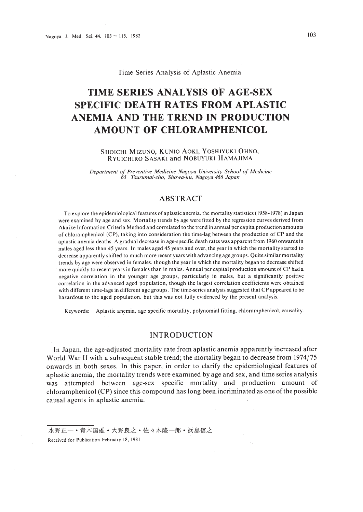Time Series Analysis of Aplastic Anemia

# **TIME SERIES ANALYSIS OF AGE-SEX SPECIFIC DEATH RATES FROM APLASTIC ANEMIA AND THE TREND IN PRODUCTION AMOUNT OF CHLORAMPHENICOL**

### SHOICHI MIZUNO, KUNIO AOKI, YOSHIYUKI OHNO, RYUICHIRO SASAKI and NOBUYUKI HAMAJIMA

*Department of Preventive Medicine Nagoya University School of Medicine 65 Tsurumai-cho, Showa-ku, Nagoya* 466 *Japan*

# ABSTRACT

To explore the epidemiological features of aplastic anemia, the mortality statistics (1958-1978) in Japan were examined by age and sex. Mortality trends by age were fitted by the regression curves derived from Akaike Information Criteria Method and correlated to the trend'in annual per capita production amounts of chloramphenicol (CP), taking into consideration the time-lag between the production of CP and the aplastic anemia deaths. A gradual decrease in age-specific death rates was apparent from 1960 onwards in males aged less than 45 years. In males aged 45 years and over, the year in which the mortality started to decrease apparentiy shifted to much more recent years with advancing age groups. Quite similar mortality trends by age were observed in females, though the year in which the mortality began to decrease shifted more quickly to recent years in females than in males. Annual per capital production amount ofCP had a negative correlation in the younger age groups, particularly in males, but a significantly positive correlation in the advanced aged population, though the largest correlation coefficients were obtained with different time-lags in different age groups. The time-series analysis suggested that CP appeared to be hazardous to the aged population, but this was not fully evidenced by the present analysis.

Keywords: Aplastic anemia, age specific mortality, polynomial fitting, chloramphenicol, causality.

### INTRODUCTION

In Japan, the age-adjusted mortality rate from aplastic anemia apparently increased after World War II with a subsequent stable trend; the mortality began to decrease from 1974/75 onwards in both sexes. In this paper, in order to clarify the epidemiological features of aplastic anemia, the mortality trends were examined by age and sex, and time series analysis was attempted between age-sex specific mortality and production amount of chloramphenicol (CP) since this compound has long been.incriminated as one ofthe possible causal agents in aplastic anemia.

水野正一 · 青木国雄 · 大野良之 · 佐々木隆一郎 · 浜島信之 Received for Publication February 18, 1981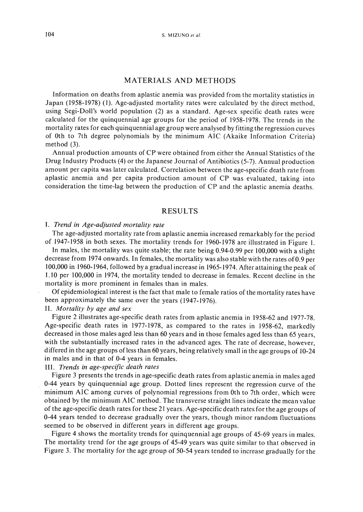## MATERIALS AND METHODS

Information on deaths from aplastic anemia was provided from the mortality statistics in Japan (1958-1978) (I). Age-adjusted mortality rates were calculated by the direct method, using Segi-Doll's world population (2) as a standard. Age-sex specific death rates were calculated for the quinquennial age groups for the period of 1958-1978. The trends in the mortality rates for each quinquennial age group were analysed by fitting the regression curves of Oth to 7th degree polynomials by the minimum AIC (Akaike Information Criteria) method (3).

Annual production amounts of CP were obtained from either the Annual Statistics of the Drug Industry Products (4) or the Japanese Journal of Antibiotics (5-7). Annual production amount per capita was later calculated. Correlation between the age-specific death rate from aplastic anemia and per capita production amount of CP was evaluated, taking into consideration the time-lag between the production of CP and the aplastic anemia deaths.

# RESULTS

### I. *Trend in Age-adjusted mortality rate*

The age-adjusted mortality rate from aplastic anemia increased remarkably for the period of 1947-1958 in both sexes. The mortality trends for 1960-1978 are illustrated in Figure 1.

In males, the mortality was quite stable; the rate being 0.94-0.99 per 100,000 with a slight decrease from 1974 onwards. In females, the mortality was also stable with the rates of0.9 per 100,000 in 1960-1964, followed by a gradual increase in 1965-1974. After attaining the peak of 1.10 per 100,000 in 1974, the mortality tended to decrease in females. Recent decline in the mortality is more prominent in females than in males.

Of epidemiological interest is the fact that male to female ratios of the mortality rates have been approximately the same over the years (1947-1976).

# II. *Mortality by age and sex*

Figure 2 illustrates age-specific death rates from aplastic anemia in 1958-62 and 1977-78. Age-specific death rates in 1977-1978, as compared to the rates in 1958-62, markedly decreased in those males aged less than 60 years and in those females aged less than 65 years, with the substantially increased rates in the advanced ages. The rate of decrease, however, differed in the age groups of less than 60 years, being relatively small in the age groups of 10-24 in males and in that of 0-4 years in females.

### III. *Trends in age-specific death rates*

Figure 3 presents the trends in age-specific death rates from aplastic anemia in males aged 0-44 years by quinquennial age group. Dotted lines represent the regression curve of the minimum AIC among curves of polynomial regressions from Oth to 7th order, which were obtained by the minimum AIC method. The transverse straight lines indicate the mean value of the age-specific death rates for these 21 years. Age-specific death rates for the age groups of 0-44 years tended to decrease gradually over the years, though minor random fluctuations seemed to be observed in different years in different age groups.

Figure 4 shows the mortality trends for quinquennial age groups of 45-69 years in males. The mortality trend for the age groups of 45-49 years was quite similar to that observed in Figure 3. The mortality for the age group of 50-54 years tended to increase gradually for the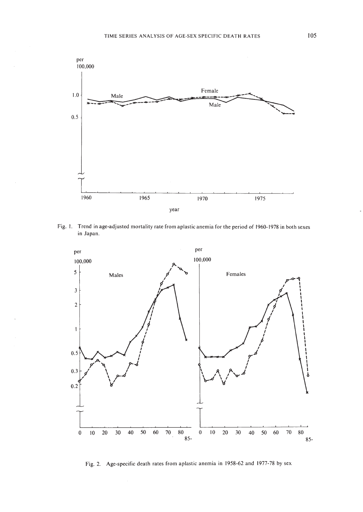

Fig. I. Trend in age-adjusted mortality rate from aplastic anemia for the period of 1960-1978 in both sexes **in** Japan.



Fig. 2. Age-specific death rates from aplastic anemia in 1958-62 and 1977-78 by sex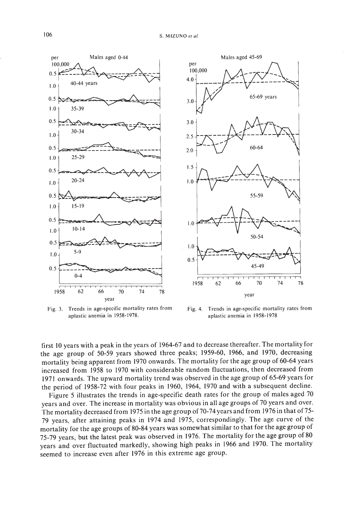

Fig. 3. Trends in age-specific mortality rates from aplastic anemia in 1958-1978.



Fig. 4. Trends in age-specific mortality rates from aplastic anemia in 1958-1978

first 10 years with a peak in the years of 1964-67 and to decrease thereafter. The mortality for the age group of 50-59 years showed three peaks; 1959-60, 1966, and 1970, decreasing mortality being apparent from 1970 onwards. The mortality for the age group of 60-64 years increased from 1958 to 1970 with considerable random fluctuations, then decreased from 1971 onwards. The upward mortality trend was observed in the age group of 65-69 years for the period of 1958-72 with four peaks in 1960, 1964, 1970 and with a subsequent decline.

Figure 5 illustrates the trends in age-specific death rates for the group of males aged 70 years and over. The increase in mortality was obvious in all age groups of 70 years and over. The mortality decreased from 1975 in the age group of 70-74 years and from 1976 in that of 75-79 years, after attaining peaks in 1974 and 1975, correspondingly. The age curve of the mortality for the age groups of 80-84 years was somewhat similar to that for the age group of 75-79 years, but the latest peak was observed in 1976. The mortality for the age group of 80 years and over fluctuated markedly, showing high peaks in 1966 and 1970. The mortality seemed to increase even after 1976 in this extreme age group.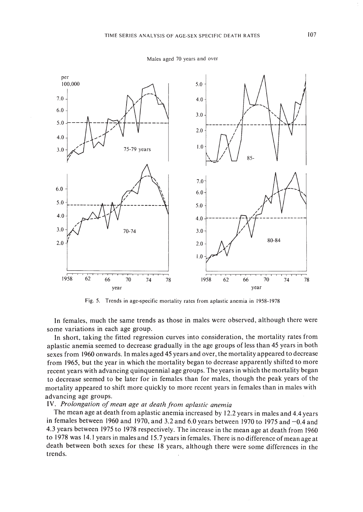

Males aged 70 years and over

Fig. 5. Trends in age-specific mortality rates from aplastic anemia in 1958-1978

In females, much the same trends as those in males were observed, although there were some variations in each age group.

In short, taking the fitted regression curves into consideration, the mortality rates from aplastic anemia seemed to decrease gradually in the age groups of less than 45 years in both sexes from 1960 onwards. In males aged 45 years and over, the mortality appeared to decrease from 1965, but the year in which the mortality began to decrease apparently shifted to more recent years with advancing quinquennial age groups. The years in which the mortality began to decrease seemed to be later for in females than for males, though the peak years of the mortality appeared to shift more quickly to more recent years in females than in males with advancing age groups.

### IV. *Prolongation ofmean age at death from aplastic anemia*

The mean age at death from aplastic anemia increased by 12.2 years in males and 4.4 years in females between 1960 and 1970, and 3.2 and 6.0 years between 1970 to 1975 and  $-0.4$  and 4.3 years between 1975 to 1978 respectively. The increase in the mean age at death from 1960 to 1978 was 14.1 years in males and 15.7 years in females. There is no difference of mean age at death between both sexes for these 18 years, although there were some differences in the trends.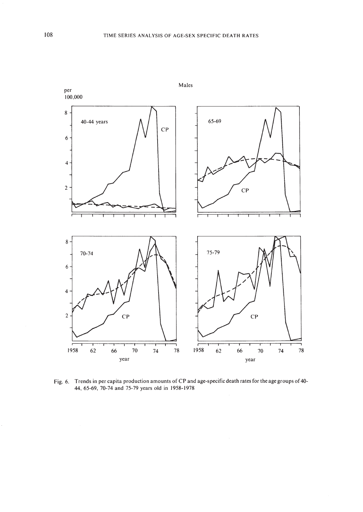

Fig. 6. Trends in per capita production amounts of CP and age-specific death rates for the age groups of 40- 44. 65-69, 70-74 and 75-79 years old in 1958-1978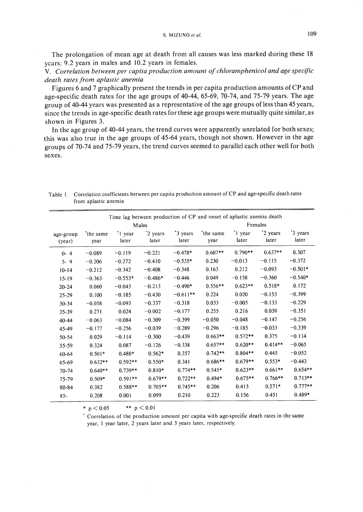The prolongation of mean age at death from all causes was less marked during these 18 years: 9.2 years in males and 10.2 years in females.

V. *Correlation between per capita production amount of chloramphenicol and age specific death rates from aplastic anemia*

Figures 6 and 7 graphically present the trends in per capita production amounts of CP and age-specific death rates for the age groups of 40-44, 65-69, 70-74, and 75-79 years. The age group of 40-44 years was presented as a representative of the age groups of less than 45 years, since the trends in age-specific death rates for these age groups were mutually quite similar, as shown in Figures 3.

**In** the age group of 40-44 years, the trend curves were apparently unrelated for both sexes; this was also true in the age groups of 45-64 years, though not shown. However in the age groups of 70-74 and 75-79 years, the trend curves seemed to parallel each other well for both sexes.

| Time lag between production of CP and onset of aplastic anemia death |                               |                              |                               |                   |                  |                              |                   |                   |
|----------------------------------------------------------------------|-------------------------------|------------------------------|-------------------------------|-------------------|------------------|------------------------------|-------------------|-------------------|
|                                                                      | Males                         |                              |                               |                   | Females          |                              |                   |                   |
| age-group<br>(year)                                                  | the same <sup>+</sup><br>year | <sup>+</sup> 1 year<br>later | <sup>+</sup> 2 years<br>later | *3 years<br>later | the same<br>year | <sup>+</sup> 1 year<br>later | *2 years<br>later | *3 years<br>later |
| $0 - 4$                                                              | $-0.089$                      | $-0.119$                     | $-0.221$                      | $-0.478*$         | $0.607**$        | $0.790**$                    | $0.637**$         | 0.307             |
| $5 - 9$                                                              | $-0.206$                      | $-0.272$                     | $-0.410$                      | $-0.535*$         | 0.230            | $-0.013$                     | $-0.115$          | $-0.372$          |
| $10 - 14$                                                            | $-0.212$                      | $-0.342$                     | $-0.408$                      | $-0.348$          | 0.163            | 0.212                        | $-0.093$          | $-0.501*$         |
| $15 - 19$                                                            | $-0.363$                      | $-0.553*$                    | $-0.486*$                     | $-0.446$          | 0.049            | $-0.158$                     | $-0.360$          | $-0.540*$         |
| $20 - 24$                                                            | 0.060                         | $-0.043$                     | $-0.213$                      | $-0.490*$         | $0.556**$        | $0.623**$                    | $0.518*$          | 0.172             |
| $25 - 29$                                                            | 0.100                         | $-0.185$                     | $-0.430$                      | $-0.611**$        | 0.224            | 0.020                        | $-0.153$          | $-0.399$          |
| $30 - 34$                                                            | $-0.058$                      | $-0.093$                     | $-0.337$                      | $-0.318$          | 0.033            | $-0.005$                     | $-0.133$          | $-0.229$          |
| 35-39                                                                | 0.271                         | 0.024                        | $-0.002$                      | $-0.177$          | 0.255            | 0.216                        | 0.039             | $-0.351$          |
| $40 - 44$                                                            | $-0.063$                      | $-0.084$                     | $-0.309$                      | $-0.399$          | $-0.050$         | $-0.048$                     | $-0.147$          | $-0.256$          |
| 45-49                                                                | $-0.177$                      | $-0.256$                     | $-0.039$                      | $-0.289$          | $-0.296$         | $-0.185$                     | $-0.033$          | $-0.339$          |
| 50-54                                                                | 0.029                         | $-0.114$                     | $-0.300$                      | $-0.439$          | $0.663**$        | $0.572**$                    | 0.375             | $-0.114$          |
| 55-59                                                                | 0.324                         | 0.087                        | $-0.126$                      | $-0.338$          | $0.657**$        | $0.620**$                    | $0.414**$         | $-0.065$          |
| $60 - 64$                                                            | $0.501*$                      | $0.488*$                     | $0.562*$                      | 0.357             | $0.742**$        | $0.804**$                    | 0.445             | $-0.052$          |
| 65-69                                                                | $0.632**$                     | $0.592**$                    | $0.550*$                      | 0.341             | $0.686**$        | $0.679**$                    | $0.553*$          | $-0.443$          |
| 70-74                                                                | $0.640**$                     | $0.739**$                    | $0.810*$                      | $0.774**$         | $0.545*$         | $0.623**$                    | $0.661**$         | $0.654**$         |
| 75-79                                                                | $0.509*$                      | $0.591**$                    | $0.679**$                     | $0.722**$         | $0.494*$         | $0.675**$                    | $0.766**$         | $0.713**$         |
| 80-84                                                                | 0.382                         | $0.588**$                    | $0.705**$                     | $0.745**$         | 0.206            | 0.413                        | $0.571*$          | $0.777**$         |
| $85 -$                                                               | 0.208                         | 0.001                        | 0.099                         | 0.210             | 0.223            | 0.156                        | 0.451             | $0.489*$          |

Table I. Correlation coefficients between per capita production amount of CP and age-specific death rates from aplastic anemia

\*  $p < 0.05$  \*\*  $p < 0.01$ 

, Correlation of the production amount per capita with age-specific death rates in the same year, I year later, 2 years later and 3 years later, respectively.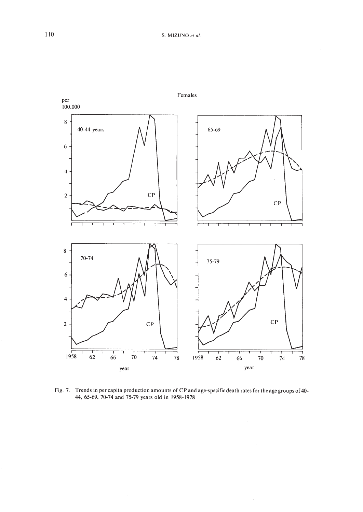

Fig. 7. Trends in per capita production amounts of CP and age-specific death rates for the age groups of 40- 44.65-69.70-74 and 75-79 years old in 1958-1978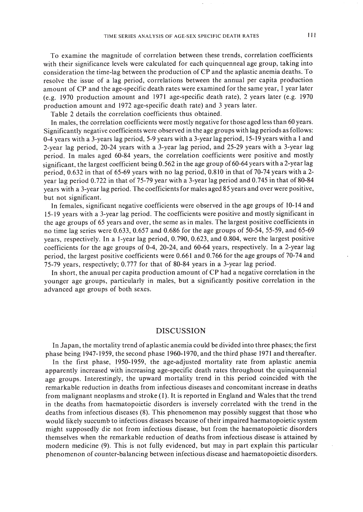To examine the magnitude of correlation between these trends, correlation coefficients with their significance levels were calculated for each quinquenneal age group, taking into consideration the time-lag between the production of CP and the aplastic anemia deaths. To resolve the issue of a lag period, correlations between the annual per capita production amount of CP and the age-specific death rates were examined for the same year, I year later (e.g. 1970 production amount and 1971 age-specific death rate), 2 years later (e.g. 1970 production amount and 1972 age-specific death rate) and 3 years later.

Table 2 details the correlation coefficients thus obtained.

In males, the correlation coefficients were mostly negative for those aged less than 60 years. Significantly negative coefficients were observed in the age groups with lag periods as follows: 0-4 years with a 3-years lag period, 5-9 years with a 3-year lag period, 15-19 years with a I and 2-year lag period, 20-24 years with a 3-year lag period, and 25-29 years with a 3-year lag period. In males aged 60-84 years, the correlation coefficients were positive and mostly significant, the largest coefficient being 0.562 in the age group of60-64 years with a 2-year lag period, 0.632 in that of 65-69 years with no lag period, 0.810 in that of 70-74 years with a 2year lag period 0.722 in that of 75-79 year with a 3-year lag period and 0.745 in that of 80-84 years with a 3-year lag period. The coefficients for males aged 85 years and over were positive, but not significant.

In females, significant negative coefficients were observed in the age groups of 10-14 and 15-19 years with a 3-year lag period. The coefficients were positive and mostly significant in the age groups of 65 years and over, the seme as in males. The largest positive coefficients in no time lag series were 0.633, 0.657 and 0.686 for the age groups of 50-54, 55-59, and 65-69 years, respectively. In a I-year lag period, 0.790, 0.623, and 0.804, were the largest positive coefficients for the age groups of 0-4, 20-24, and 60-64 years, respectively. In a 2-year lag period, the largest positive coefficients were 0.661 and 0.766 for the age groups of 70-74 and 75-79 years, respectively; 0.777 for that of 80-84 years in a 3-year lag period.

In short, the anuual per capita production amount of CP had a negative correlation in the younger age groups, particularly in males, but a significantly positive correlation in the advanced age groups of both sexes.

### DISCUSSION

In Japan, the mortality trend of aplastic anemia could be divided into three phases; the first phase being 1947-1959, the second phase 1960-1970, and the third phase 1971 and thereafter. In the first phase, 1950-1959, the age-adjusted mortality rate from aplastic anemia apparently increased with increasing age-specific death rates throughout the quinquennial age groups. Interestingly, the upward mortality trend in this period coincided with the remarkable reduction in deaths from infectious diseases and concomitant increase in deaths from malignant neoplasms and stroke (I). It is reported in England and Wales that the trend in the deaths from haematopoietic disorders is inversely correlated with the trend in the deaths from infectious diseases (8). This phenomenon may possibly suggest that those who would likely succumb to infectious diseases because of their impaired haematopoietic system might supposedly die not from infectious disease, but from the haematopoietic disorders themselves when the remarkable reduction of deaths from infectious disease is attained by modern medicine (9). This is not fully evidenced, but may in part explain this particular phenomenon of counter-balancing between infectious disease and haematopoietic disorders.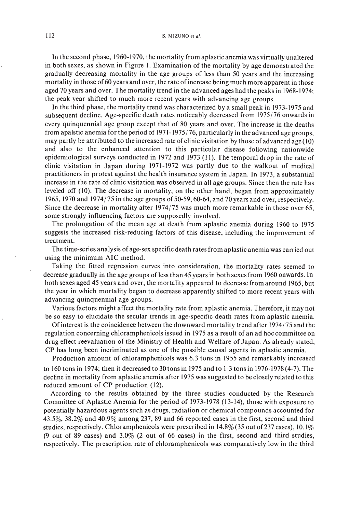#### 112 S. MIZUNO et al.

In the second phase, 1960-1970, the mortality from aplastic anemia was virtually unaltered in both sexes, as shown in Figure I. Examination of the mortality by age demonstrated the gradually decreasing mortality in the age groups of less than 50 years and the increasing mortality in those of 60 years and over, the rate of increase being much more apparent in those aged 70 years and over. The mortality trend in the advanced ages had the peaks in 1968-1974; the peak year shifted to much more recent years with advancing age groups.

In the third phase, the mortality trend was characterized by a small peak in  $1973-1975$  and subsequent decline. Age-specific death rates noticeably decreased from 1975/76 onwards in every quinquennial age group except that of 80 years and over. The increase in the deaths from apalstic anemia for the period of 1971-1975/76, particularly in the advanced age groups, may partly be attributed to the increased rate of clinic visitation by those of advanced age (10) and also to the enhanced attention to this particular disease following nationwide epidemiological surveys conducted in 1972 and 1973 (11). The temporal drop in the rate of clinic visitation in Japan during 1971-1972 was partly due to the walkout of medical practitioners in protest against the health insurance system in Japan. In 1973, a substantial increase in the rate of clinic visitation was observed in all age groups. Since then the rate has leveled off (10). The decrease in mortality, on the other hand, began from approximately 1965, 1970 and 1974/75 in the age groups of 50-59, 60-64, and 70 years and over, respectively. Since the decrease in mortality after 1974/75 was much more remarkable in those over 65, some strongly influencing factors are supposedly involved.

The prolongation of the mean age at death from aplastic anemia during 1960 to 1975 suggests the increased risk-reducing factors of this disease, including the improvement of treatment.

The time-series analysis of age-sex specific death rates from aplastic anemia was carried out using the minimum AIC method.

Taking the fitted regression curves into consideration, the mortality rates seemed to decrease gradually in the age groups of less than 45 years in both sexes from 1960 onwards. In both sexes aged 45 years and over, the mortality appeared to decrease from around 1965, but the year in which mortality began to decrease apparently shifted to more recent years with advancing quinquennial age groups.

Various factors might affect the mortality rate from aplastic anemia. Therefore, it may not be so easy to elucidate the secular trends in age-specific death rates from aplastic anemia.

Of interest is the coincidence between the downward mortality trend after 1974/75 and the regulation concerning chloramphenicols issued in 1975 as a result of an ad hoc committee on drug effect reevaluation of the Ministry of Health and Welfare of Japan. As already stated, CP has long been incriminated as one of the possible causal agents in aplastic anemia.

Production amount of chloramphenicols was 6.3 tons in 1955 and remarkably increased to 160 tons in 1974; then it decreased to 30 tons in 1975 and to 1-3 tons in 1976-1978 (4-7). The decline in mortality from aplastic anemia after 1975 was suggested to be closely related to this reduced amount of CP production (12).

According to the results obtained by the three studies conducted by the Research Committee of Aplastic Anemia for the period of 1973-1978 (13-14), those with exposure to potentially hazardous agents such as drugs, radiation or chemical compounds accounted for 43.5%,38.2% and 40.9% among 237,89 and 66 reported cases in the first, second and third studies, respectively. Chloramphenicols were prescribed in  $14.8\%$  (35 out of 237 cases), 10.1% (9 out of 89 cases) and 3.0% (2 out of 66 cases) in the first, second and third studies, respectively. The prescription rate of chloramphenicols was comparatively low in the third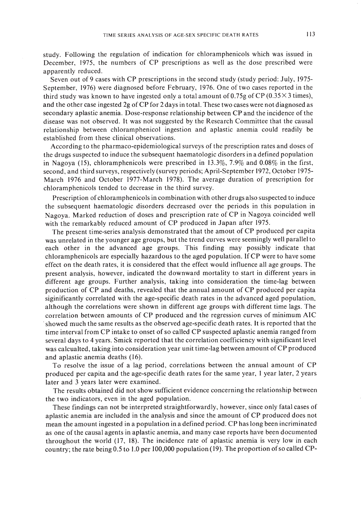study. Following the regulation of indication for chloramphenicols which was issued in December, 1975, the numbers of CP prescriptions as well as the dose prescribed were apparently reduced.

Seven out of 9 cases with CP prescriptions in the second study (study period: July, 1975-September, 1976) were diagnosed before February, 1976. One of two cases reported in the third study was known to have ingested only a total amount of 0.75g of CP ( $0.35 \times 3$  times), and the other case ingested 2g of CP for 2 days in total. These two cases were not diagnosed as secondary aplastic anemia. Dose-response relationship between CP and the incidence of the disease was not observed. It was not suggested by the Research Committee that the causal relationship between chloramphenicol ingestion and aplastic anemia could readily be established from these clinical observations.

According to the pharmaco-epidemiological surveys of the prescription rates and doses of the drugs suspected to induce the subsequent haematologic disorders in a defined population in Nagoya (15), chloramphenicols were prescribed in  $13.3\%$ ,  $7.9\%$  and  $0.08\%$  in the first, second, and third surveys, respectively (survey periods; April-September 1972, October 1975- March 1976 and October 1977-March 1978). The average duration of prescription for chloramphenicols tended to decrease in the third survey.

Prescription of chloramphenicols in combination with other drugs also suspected to induce the subsequent haematologic disorders decreased over the periods in this population in Nagoya. Marked reduction of doses and prescription rate of CP in Nagoya coincided well with the remarkably reduced amount of CP produced in Japan after 1975.

The present time-series analysis demonstrated that the amout of CP produced per capita was unrelated in the younger age groups, but the trend curves were seemingly well parallel to each other in the advanced age groups. This finding may possibly indicate that chloramphenicols are especially hazardous to the aged population. IfCP were to have some effect on the death rates, it is considered that the effect would influence all age groups. The present analysis, however, indicated the downward mortality to start in different years in different age groups. Further analysis, taking into consideration the time-lag between production of CP and deaths, revealed that the annual amount of CP produced per capita siginificantly correlated with the age-specific death rates in the advanced aged population, although the correlations were shown in different age groups with different time lags. The correlation between amounts of CP produced and the regression curves of minimum AIC .showed much the same results as the observed age-specific death rates. It is reported that the time interval from CP intake to onset of so called CP suspected aplastic anemia ranged from several days to 4 years. Smick reported that the correlation coefficiency with significant level was calcualted, taking into consideration year unit time-lag between amount ofCP produced and aplastic anemia deaths (16).

To resolve the issue of a lag period, correlations between the annual amount of CP produced per capita and the age-specific death rates for the same year, I year later, 2 years later and 3 years later were examined.

The results obtained did not show sufficient evidence concerning the relationship between the two indicators, even in the aged population.

These findings can not be interpreted straightforwardly, however, since only fatal cases of aplastic anemia are included in the analysis and since the amount of CP produced does not mean the amount ingested in a population in a defined period. CP has long been incriminated as one of the causal agents in aplastic anemia, and many case reports have been documented throughout the world (17, 18). The incidence rate of aplastic anemia is very low in each country; the rate being  $0.5$  to 1.0 per 100,000 population (19). The proportion of so called CP-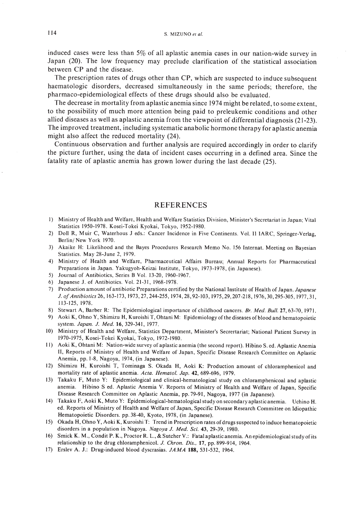induced cases were less than 5% of all aplastic anemia cases in our nation-wide survey in Japan (20). The low frequency may preclude clarification of the statistical association between CP and the disease.

The prescription rates of drugs other than CP, which are suspected to induce subsequent haematologic disorders, decreased simultaneously in the same periods; therefore, the pharmaco-epidemiological effects of these drugs should also be evaluated.

The decrease in mortality from aplastic anemia since 1974 might be related, to some extent, to the possibility of much more attention being paid to preleukemic conditions and other allied diseases as well as aplastic anemia from the viewpoint of differential diagnosis (21-23). The improved treatment, including systematic anabolic hormone therapy for aplastic anemia might also affect the reduced mortality (24).

Continuous observation and further analysis are required accordingly in order to clarify the picture further, using the data of incident cases occurring in a defined area. Since the fatality rate of aplastic anemia has grown lower during the last decade (25).

# REFERENCES

- I) Ministry of Health and Welfare, Health and Welfare Statistics Division, Minister's Secretariat in Japan; Vital Statistics 1950-1978. Kosei-Tokei Kyokai, Tokyo, 1952-1980.
- 2) Doll R, Muir C, Waterhous J eds.: Cancer Incidence in Five Continents. Vol. II IARC, Springer-Verlag, Berlin/New York 1970.
- 3) Akaike H: Likelihood and the Bayes Procedures Research Memo No. 156 Internat. Meeting on Bayesian Statistics. May 28-June 2, 1979.
- 4) Ministry of Health and Welfare, Pharmaceutical Affairs Bureau; Annual Reports for Pharmaceutical Preparations in Japan. Yakugyoh-Keizai Institute, Tokyo, 1973-1978, (in Japanese).
- 5) Journal of Antibiotics, Series B Vol. 13-20, 1960-1967.
- 6) Japanese J. of Antibiotics. Vol. 21-31,1968-1978.
- 7) Production amount of antibiotic Preparations certified by the National Institute of Health of Japan. *Japanese* J. *ofAntibiotics* 26, 163-173, 1973,27,244-255, 1974,28,92-103, 1975,29,207-218, 1976,30,295-305, 1977,31, 113-125, 1978.
- 8) Stewart A, Barber R: The Epidemiological importance of childhood cancers. *Br. Med. Bull.* 27, 63-70, 1971.
- 9) Aoki K, Ohno Y, Shimizu H, Kuroishi T, Ohtani M: Epidemiology of the diseases of blood and hematopoietic system. *Japan. J. Med.* 16,329-341,1977.
- 10) Ministry of Health and Welfare, Statistics Department, Minister's Secrertariat; National Patient Survey in 1970-1975, Kosei-Tokei Kyokai, Tokyo, 1972-1980.
- II) Aoki K, Ohtani M: Nation-wide survey of aplastic anemia (the second report). Hibino S. ed. Aplastic Anemia II, Reports of Ministry of Health and Welfare of Japan, Specific Disease Research Committee on Aplastic Anemia, pp. 1-8, Nagoya, 1974, (in Japanese).
- 12) Shimizu H, Kuroishi T, Tominaga S. Okada H, Aoki K: Production amount of chloramphenicol and mortality rate of aplastic anemia. *ACla. Hemalol. Jap.* 42,689-696, 1979.
- 13) Takaku F, Muto Y: Epidemiological and clinical-hematological study on chloramphenicoal and aplastic anemia. Hibino Sed. Aplastic Anemia V. Reports of Ministry of Health and Welfare of Japan, Specific Disease Research Committee on Aplastic Anemia, pp. 79-91, Nagoya, 1977 (in Japanese).
- 14) Takaku F, Aoki K, Muto Y: Epidemiological-hematological study on secondary aplastic anemia. Uchino H. ed. Reports of Ministry of Health and Welfare of Japan, Specifie Disease Research Committee on Idiopathic Hematopoietic Disorders. pp.38-40, Kyoto, 1978, (in Japanese).
- 15) Okada H, Ohno Y, Aoki K, Kuroishi T: Trend in Prescription rates of drugs suspected to induce hematopoietic disorders in a population in Nagoya. *Nagoya J. Med. Sci.* 43, 29-39, 1980.
- 16) Smick K. M., Condit P. K., Proctor R. L., & Sutcher V.: Fatal aplastic anemia. An epidemiological study ofits relationship to the drug chloramphenicol. J. *Chron. Dis.,* 17, pp.899-914, [964.
- 17) Erslev A. J.: Drug-induced blood dyscrasias. *JAMA* 188, 531-532, 1964.